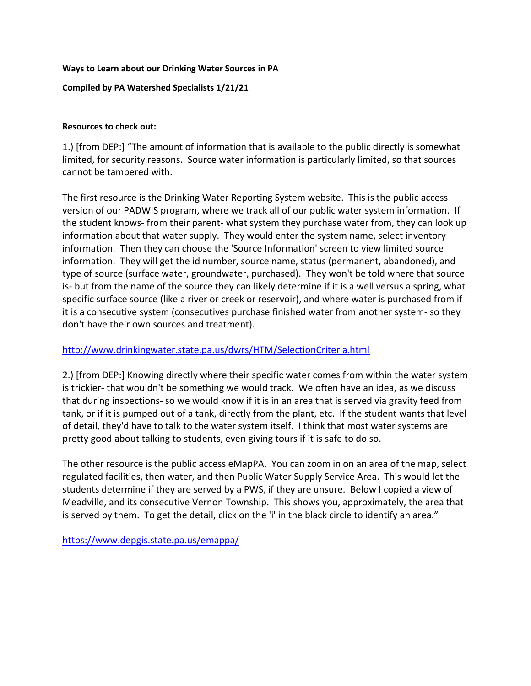## **Ways to Learn about our Drinking Water Sources in PA**

## **Compiled by PA Watershed Specialists 1/21/21**

## **Resources to check out:**

1.) [from DEP:] "The amount of information that is available to the public directly is somewhat limited, for security reasons. Source water information is particularly limited, so that sources cannot be tampered with.

The first resource is the Drinking Water Reporting System website. This is the public access version of our PADWIS program, where we track all of our public water system information. If the student knows- from their parent- what system they purchase water from, they can look up information about that water supply. They would enter the system name, select inventory information. Then they can choose the 'Source Information' screen to view limited source information. They will get the id number, source name, status (permanent, abandoned), and type of source (surface water, groundwater, purchased). They won't be told where that source is- but from the name of the source they can likely determine if it is a well versus a spring, what specific surface source (like a river or creek or reservoir), and where water is purchased from if it is a consecutive system (consecutives purchase finished water from another system- so they don't have their own sources and treatment).

## [http://www.drinkingwater.state.pa.us/dwrs/HTM/SelectionCriteria.html](https://linkprotect.cudasvc.com/url?a=http%3a%2f%2fwww.drinkingwater.state.pa.us%2fdwrs%2fHTM%2fSelectionCriteria.html&c=E,1,qPyF85YLN_lLXRKPUNBwcxi_TODM6xwrMuRHeFPTzRzb5f0gR8Il85BYyJhIQil4zZeVJCCM4oqjhZg7ue4gBAzpVUwtoX6qw3yLrtcCETfImISlsFHeEe4,&typo=1)

2.) [from DEP:] Knowing directly where their specific water comes from within the water system is trickier- that wouldn't be something we would track. We often have an idea, as we discuss that during inspections- so we would know if it is in an area that is served via gravity feed from tank, or if it is pumped out of a tank, directly from the plant, etc. If the student wants that level of detail, they'd have to talk to the water system itself. I think that most water systems are pretty good about talking to students, even giving tours if it is safe to do so.

The other resource is the public access eMapPA. You can zoom in on an area of the map, select regulated facilities, then water, and then Public Water Supply Service Area. This would let the students determine if they are served by a PWS, if they are unsure. Below I copied a view of Meadville, and its consecutive Vernon Township. This shows you, approximately, the area that is served by them. To get the detail, click on the 'i' in the black circle to identify an area."

[https://www.depgis.state.pa.us/emappa/](https://linkprotect.cudasvc.com/url?a=https%3a%2f%2fwww.depgis.state.pa.us%2femappa%2f&c=E,1,4HsLLoOpgDq8ADxsFpdlefev96FzSucSkw4mX5ViyxUj8oOYm9qQcBztFPjNuY3pBeB2HLlWkPO7QDcTvwDslhRlQH99qOJIA9h042MuVe3-AY8,&typo=1)